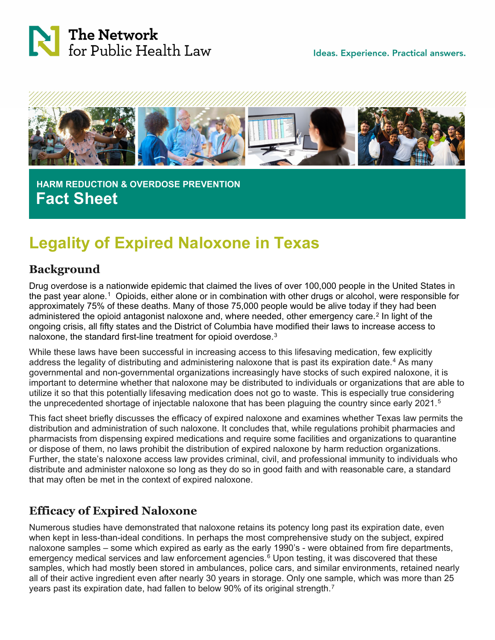

Ideas. Experience. Practical answers.



 **HARM REDUCTION & OVERDOSE PREVENTION Fact Sheet**

# **Legality of Expired Naloxone in Texas**

### **Background**

Drug overdose is a nationwide epidemic that claimed the lives of over 100,000 people in the United States in the past year alone.[1](#page-2-0) Opioids, either alone or in combination with other drugs or alcohol, were responsible for approximately 75% of these deaths. Many of those 75,000 people would be alive today if they had been administered the opioid antagonist naloxone and, where needed, other emergency care.<sup>[2](#page-2-1)</sup> In light of the ongoing crisis, all fifty states and the District of Columbia have modified their laws to increase access to naloxone, the standard first-line treatment for opioid overdose.[3](#page-3-0)

While these laws have been successful in increasing access to this lifesaving medication, few explicitly address the legality of distributing and administering naloxone that is past its expiration date.<sup>[4](#page-3-1)</sup> As many governmental and non-governmental organizations increasingly have stocks of such expired naloxone, it is important to determine whether that naloxone may be distributed to individuals or organizations that are able to utilize it so that this potentially lifesaving medication does not go to waste. This is especially true considering the unprecedented shortage of injectable naloxone that has been plaguing the country since early 2021.<sup>[5](#page-3-2)</sup>

This fact sheet briefly discusses the efficacy of expired naloxone and examines whether Texas law permits the distribution and administration of such naloxone. It concludes that, while regulations prohibit pharmacies and pharmacists from dispensing expired medications and require some facilities and organizations to quarantine or dispose of them, no laws prohibit the distribution of expired naloxone by harm reduction organizations. Further, the state's naloxone access law provides criminal, civil, and professional immunity to individuals who distribute and administer naloxone so long as they do so in good faith and with reasonable care, a standard that may often be met in the context of expired naloxone.

# **Efficacy of Expired Naloxone**

Numerous studies have demonstrated that naloxone retains its potency long past its expiration date, even when kept in less-than-ideal conditions. In perhaps the most comprehensive study on the subject, expired naloxone samples – some which expired as early as the early 1990's - were obtained from fire departments, emergency medical services and law enforcement agencies.<sup>[6](#page-3-3)</sup> Upon testing, it was discovered that these samples, which had mostly been stored in ambulances, police cars, and similar environments, retained nearly all of their active ingredient even after nearly 30 years in storage. Only one sample, which was more than 25 years past its expiration date, had fallen to below 90% of its original strength.<sup>7</sup>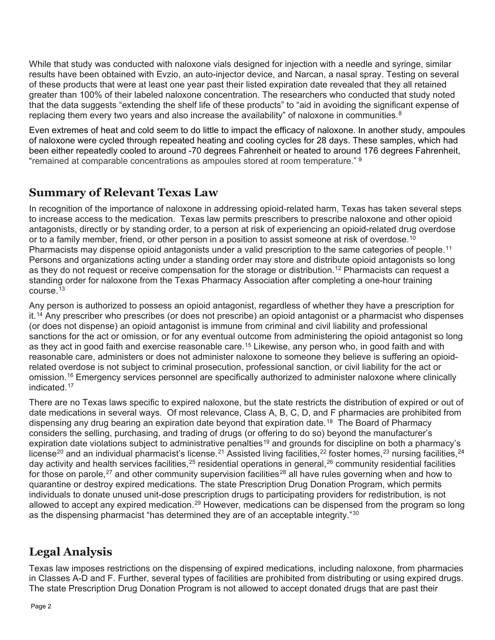While that study was conducted with naloxone vials designed for injection with a needle and syringe, similar results have been obtained with Evzio, an auto-injector device, and Narcan, a nasal spray. Testing on several of these products that were at least one year past their listed expiration date revealed that they all retained greater than 100% of their labeled naloxone concentration. The researchers who conducted that study noted that the data suggests "extending the shelf life of these products" to "aid in avoiding the significant expense of replacing them every two years and also increase the availability" of naloxone in communities. $8$ 

Even extremes of heat and cold seem to do little to impact the efficacy of naloxone. In another study, ampoules of naloxone were cycled through repeated heating and cooling cycles for 28 days. These samples, which had been either repeatedly cooled to around -70 degrees Fahrenheit or heated to around 176 degrees Fahrenheit, "remained at comparable concentrations as ampoules stored at room temperature." [9](#page-3-6)

### **Summary of Relevant Texas Law**

In recognition of the importance of naloxone in addressing opioid-related harm, Texas has taken several steps to increase access to the medication. Texas law permits prescribers to prescribe naloxone and other opioid antagonists, directly or by standing order, to a person at risk of experiencing an opioid-related drug overdose or to a family member, friend, or other person in a position to assist someone at risk of overdose.<sup>[10](#page-3-7)</sup> Pharmacists may dispense opioid antagonists under a valid prescription to the same categories of people.<sup>[11](#page-3-8)</sup> Persons and organizations acting under a standing order may store and distribute opioid antagonists so long as they do not request or receive compensation for the storage or distribution.<sup>[12](#page-3-9)</sup> Pharmacists can request a standing order for naloxone from the Texas Pharmacy Association after completing a one-hour training course. $13$ 

Any person is authorized to possess an opioid antagonist, regardless of whether they have a prescription for it.<sup>[14](#page-3-11)</sup> Any prescriber who prescribes (or does not prescribe) an opioid antagonist or a pharmacist who dispenses (or does not dispense) an opioid antagonist is immune from criminal and civil liability and professional sanctions for the act or omission, or for any eventual outcome from administering the opioid antagonist so long as they act in good faith and exercise reasonable care.<sup>[15](#page-3-12)</sup> Likewise, any person who, in good faith and with reasonable care, administers or does not administer naloxone to someone they believe is suffering an opioidrelated overdose is not subject to criminal prosecution, professional sanction, or civil liability for the act or omission.<sup>16</sup> Emergency services personnel are specifically authorized to administer naloxone where clinically indicated.[17](#page-3-14)

There are no Texas laws specific to expired naloxone, but the state restricts the distribution of expired or out of date medications in several ways. Of most relevance, Class A, B, C, D, and F pharmacies are prohibited from dispensing any drug bearing an expiration date beyond that expiration date.<sup>18</sup> The Board of Pharmacy considers the selling, purchasing, and trading of drugs (or offering to do so) beyond the manufacturer's expiration date violations subject to administrative penalties<sup>[19](#page-3-16)</sup> and grounds for discipline on both a pharmacy's license<sup>[20](#page-3-17)</sup> and an individual pharmacist's license.<sup>[21](#page-3-18)</sup> Assisted living facilities,<sup>[22](#page-3-19)</sup> foster homes,<sup>[23](#page-3-20)</sup> nursing facilities,<sup>[24](#page-3-21)</sup> day activity and health services facilities,<sup>[25](#page-4-0)</sup> residential operations in general,<sup>[26](#page-4-1)</sup> community residential facilities for those on parole,<sup>[27](#page-4-2)</sup> and other community supervision facilities<sup>[28](#page-4-3)</sup> all have rules governing when and how to quarantine or destroy expired medications. The state Prescription Drug Donation Program, which permits individuals to donate unused unit-dose prescription drugs to participating providers for redistribution, is not allowed to accept any expired medication.<sup>[29](#page-4-4)</sup> However, medications can be dispensed from the program so long as the dispensing pharmacist "has determined they are of an acceptable integrity."[30](#page-4-5)

# **Legal Analysis**

Texas law imposes restrictions on the dispensing of expired medications, including naloxone, from pharmacies in Classes A-D and F. Further, several types of facilities are prohibited from distributing or using expired drugs. The state Prescription Drug Donation Program is not allowed to accept donated drugs that are past their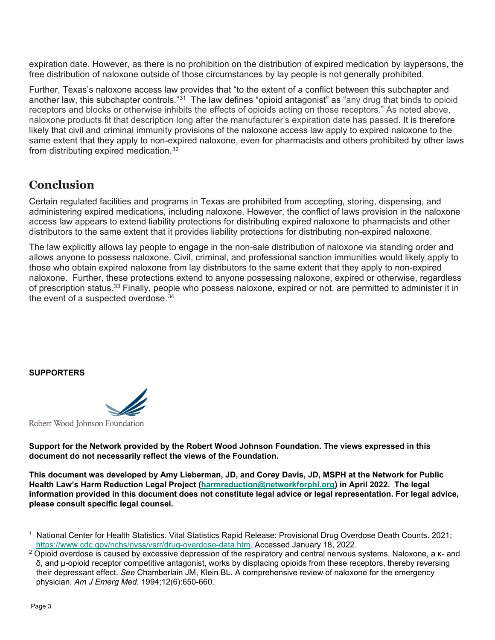expiration date. However, as there is no prohibition on the distribution of expired medication by laypersons, the free distribution of naloxone outside of those circumstances by lay people is not generally prohibited.

Further, Texas's naloxone access law provides that "to the extent of a conflict between this subchapter and another law, this subchapter controls."<sup>[31](#page-4-6)</sup> The law defines "opioid antagonist" as "any drug that binds to opioid receptors and blocks or otherwise inhibits the effects of opioids acting on those receptors." As noted above, naloxone products fit that description long after the manufacturer's expiration date has passed. It is therefore likely that civil and criminal immunity provisions of the naloxone access law apply to expired naloxone to the same extent that they apply to non-expired naloxone, even for pharmacists and others prohibited by other laws from distributing expired medication.[32](#page-4-7)

### **Conclusion**

Certain regulated facilities and programs in Texas are prohibited from accepting, storing, dispensing, and administering expired medications, including naloxone. However, the conflict of laws provision in the naloxone access law appears to extend liability protections for distributing expired naloxone to pharmacists and other distributors to the same extent that it provides liability protections for distributing non-expired naloxone.

The law explicitly allows lay people to engage in the non-sale distribution of naloxone via standing order and allows anyone to possess naloxone. Civil, criminal, and professional sanction immunities would likely apply to those who obtain expired naloxone from lay distributors to the same extent that they apply to non-expired naloxone. Further, these protections extend to anyone possessing naloxone, expired or otherwise, regardless of prescription status.[33](#page-4-8) Finally, people who possess naloxone, expired or not, are permitted to administer it in the event of a suspected overdose.<sup>[34](#page-4-9)</sup>

#### **SUPPORTERS**

Robert Wood Johnson Foundation

**Support for the Network provided by the Robert Wood Johnson Foundation. The views expressed in this document do not necessarily reflect the views of the Foundation.**

**This document was developed by Amy Lieberman, JD, and Corey Davis, JD, MSPH at the Network for Public Health Law's Harm Reduction Legal Project [\(harmreduction@networkforphl.org\)](mailto:harmreduction@networkforphl.org) in April 2022. The legal information provided in this document does not constitute legal advice or legal representation. For legal advice, please consult specific legal counsel.**

<span id="page-2-0"></span><sup>1</sup> National Center for Health Statistics. Vital Statistics Rapid Release: Provisional Drug Overdose Death Counts. 2021; [https://www.cdc.gov/nchs/nvss/vsrr/drug-overdose-data.htm.](https://www.cdc.gov/nchs/nvss/vsrr/drug-overdose-data.htm) Accessed January 18, 2022.

<span id="page-2-1"></span><sup>&</sup>lt;sup>2</sup> Opioid overdose is caused by excessive depression of the respiratory and central nervous systems. Naloxone, a κ- and δ, and μ-opioid receptor competitive antagonist, works by displacing opioids from these receptors, thereby reversing their depressant effect. *See* Chamberlain JM, Klein BL. A comprehensive review of naloxone for the emergency physician. *Am J Emerg Med.* 1994;12(6):650-660.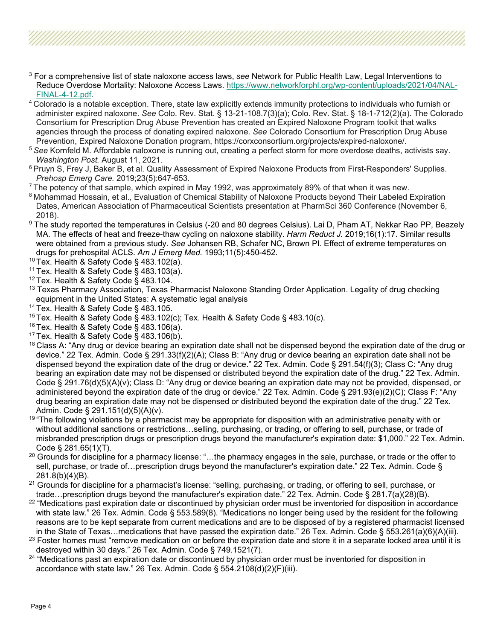- <span id="page-3-0"></span><sup>3</sup> For a comprehensive list of state naloxone access laws, *see* Network for Public Health Law, Legal Interventions to Reduce Overdose Mortality: Naloxone Access Laws. [https://www.networkforphl.org/wp-content/uploads/2021/04/NAL-](https://www.networkforphl.org/wp-content/uploads/2021/04/NAL-FINAL-4-12.pdf)[FINAL-4-12.pdf.](https://www.networkforphl.org/wp-content/uploads/2021/04/NAL-FINAL-4-12.pdf)
- <span id="page-3-1"></span>4 Colorado is a notable exception. There, state law explicitly extends immunity protections to individuals who furnish or administer expired naloxone. *See* Colo. Rev. Stat. § 13-21-108.7(3)(a); Colo. Rev. Stat. § 18-1-712(2)(a). The Colorado Consortium for Prescription Drug Abuse Prevention has created an Expired Naloxone Program toolkit that walks agencies through the process of donating expired naloxone. *See* Colorado Consortium for Prescription Drug Abuse Prevention, Expired Naloxone Donation program, https://corxconsortium.org/projects/expired-naloxone/.
- <span id="page-3-2"></span><sup>5</sup>*See* Kornfeld M. Affordable naloxone is running out, creating a perfect storm for more overdose deaths, activists say. *Washington Post.* August 11, 2021.
- <span id="page-3-3"></span><sup>6</sup> Pruyn S, Frey J, Baker B, et al. Quality Assessment of Expired Naloxone Products from First-Responders' Supplies. *Prehosp Emerg Care.* 2019;23(5):647-653.<br>The potency of that sample, which expired in May 1992, was approximately 89% of that when it was new.
- <span id="page-3-4"></span>
- <span id="page-3-5"></span><sup>8</sup> Mohammad Hossain, et al., Evaluation of Chemical Stability of Naloxone Products beyond Their Labeled Expiration Dates, American Association of Pharmaceutical Scientists presentation at PharmSci 360 Conference (November 6, 2018).
- <span id="page-3-6"></span><sup>9</sup> The study reported the temperatures in Celsius (-20 and 80 degrees Celsius). Lai D, Pham AT, Nekkar Rao PP, Beazely MA. The effects of heat and freeze-thaw cycling on naloxone stability. *Harm Reduct J.* 2019;16(1):17. Similar results were obtained from a previous study. *See* Johansen RB, Schafer NC, Brown PI. Effect of extreme temperatures on drugs for prehospital ACLS. *Am J Emerg Med.* 1993;11(5):450-452.
- <span id="page-3-7"></span> $10$  Tex. Health & Safety Code § 483.102(a).
- <span id="page-3-8"></span><sup>11</sup> Tex. Health & Safety Code  $\S$  483.103(a).
- <span id="page-3-9"></span><sup>12</sup> Tex. Health & Safety Code § 483.104.
- <span id="page-3-10"></span> $13$  Texas Pharmacy Association, Texas Pharmacist Naloxone Standing Order Application. Legality of drug checking equipment in the United States: A systematic legal analysis
- <span id="page-3-11"></span><sup>14</sup> Tex. Health & Safety Code § 483.105.
- <span id="page-3-12"></span><sup>15</sup> Tex. Health & Safety Code § 483.102(c); Tex. Health & Safety Code § 483.10(c).
- <span id="page-3-13"></span> $16$  Tex. Health & Safety Code § 483.106(a).
- <span id="page-3-14"></span> $17$  Tex. Health & Safety Code § 483.106(b).
- <span id="page-3-15"></span> $18$  Class A: "Any drug or device bearing an expiration date shall not be dispensed beyond the expiration date of the drug or device." 22 Tex. Admin. Code § 291.33(f)(2)(A); Class B: "Any drug or device bearing an expiration date shall not be dispensed beyond the expiration date of the drug or device." 22 Tex. Admin. Code § 291.54(f)(3); Class C: "Any drug bearing an expiration date may not be dispensed or distributed beyond the expiration date of the drug." 22 Tex. Admin. Code § 291.76(d)(5)(A)(v); Class D: "Any drug or device bearing an expiration date may not be provided, dispensed, or administered beyond the expiration date of the drug or device." 22 Tex. Admin. Code § 291.93(e)(2)(C); Class F: "Any drug bearing an expiration date may not be dispensed or distributed beyond the expiration date of the drug." 22 Tex. Admin. Code § 291.151(d)(5)(A)(v).
- <span id="page-3-16"></span><sup>19</sup> "The following violations by a pharmacist may be appropriate for disposition with an administrative penalty with or without additional sanctions or restrictions…selling, purchasing, or trading, or offering to sell, purchase, or trade of misbranded prescription drugs or prescription drugs beyond the manufacturer's expiration date: \$1,000." 22 Tex. Admin. Code § 281.65(1)(T).
- <span id="page-3-17"></span><sup>20</sup> Grounds for discipline for a pharmacy license: "...the pharmacy engages in the sale, purchase, or trade or the offer to sell, purchase, or trade of…prescription drugs beyond the manufacturer's expiration date." 22 Tex. Admin. Code § 281.8(b)(4)(B).
- <span id="page-3-18"></span> $21$  Grounds for discipline for a pharmacist's license: "selling, purchasing, or trading, or offering to sell, purchase, or trade…prescription drugs beyond the manufacturer's expiration date." 22 Tex. Admin. Code § 281.7(a)(28)(B).
- <span id="page-3-19"></span><sup>22</sup> "Medications past expiration date or discontinued by physician order must be inventoried for disposition in accordance with state law." 26 Tex. Admin. Code § 553.589(8). "Medications no longer being used by the resident for the following reasons are to be kept separate from current medications and are to be disposed of by a registered pharmacist licensed in the State of Texas…medications that have passed the expiration date." 26 Tex. Admin. Code § 553.261(a)(6)(A)(iii).
- <span id="page-3-20"></span><sup>23</sup> Foster homes must "remove medication on or before the expiration date and store it in a separate locked area until it is destroyed within 30 days." 26 Tex. Admin. Code § 749.1521(7).
- <span id="page-3-21"></span><sup>24</sup> "Medications past an expiration date or discontinued by physician order must be inventoried for disposition in accordance with state law." 26 Tex. Admin. Code § 554.2108(d)(2)(F)(iii).